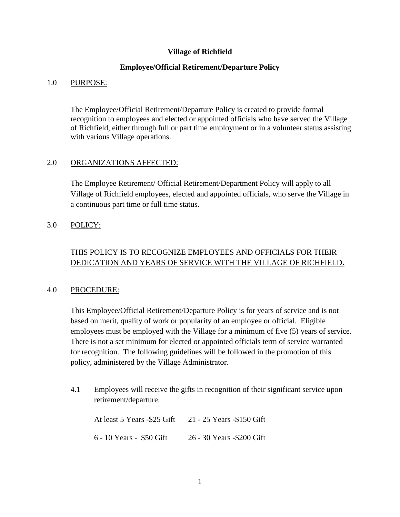### **Village of Richfield**

#### **Employee/Official Retirement/Departure Policy**

#### 1.0 PURPOSE:

The Employee/Official Retirement/Departure Policy is created to provide formal recognition to employees and elected or appointed officials who have served the Village of Richfield, either through full or part time employment or in a volunteer status assisting with various Village operations.

#### 2.0 ORGANIZATIONS AFFECTED:

The Employee Retirement/ Official Retirement/Department Policy will apply to all Village of Richfield employees, elected and appointed officials, who serve the Village in a continuous part time or full time status.

## 3.0 POLICY:

# THIS POLICY IS TO RECOGNIZE EMPLOYEES AND OFFICIALS FOR THEIR DEDICATION AND YEARS OF SERVICE WITH THE VILLAGE OF RICHFIELD.

#### 4.0 PROCEDURE:

This Employee/Official Retirement/Departure Policy is for years of service and is not based on merit, quality of work or popularity of an employee or official. Eligible employees must be employed with the Village for a minimum of five (5) years of service. There is not a set minimum for elected or appointed officials term of service warranted for recognition. The following guidelines will be followed in the promotion of this policy, administered by the Village Administrator.

4.1 Employees will receive the gifts in recognition of their significant service upon retirement/departure:

At least 5 Years -\$25 Gift 21 - 25 Years -\$150 Gift 6 - 10 Years - \$50 Gift 26 - 30 Years -\$200 Gift